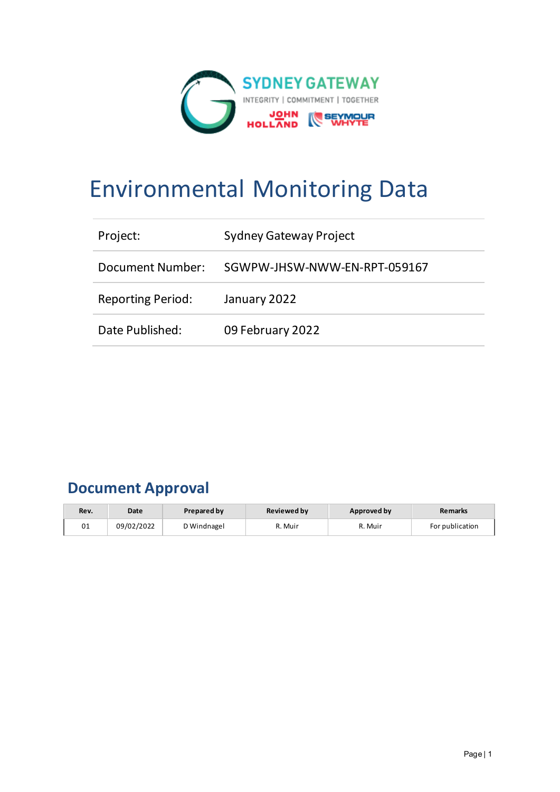

# Environmental Monitoring Data

| Project:                 | <b>Sydney Gateway Project</b> |
|--------------------------|-------------------------------|
| Document Number:         | SGWPW-JHSW-NWW-EN-RPT-059167  |
| <b>Reporting Period:</b> | January 2022                  |
| Date Published:          | 09 February 2022              |

# **Document Approval**

| Rev. | Date       | <b>Prepared by</b> | <b>Reviewed by</b> | Approved by | <b>Remarks</b>  |
|------|------------|--------------------|--------------------|-------------|-----------------|
| 01   | 09/02/2022 | D Windnagel        | R. Muir            | R. Muir     | For publication |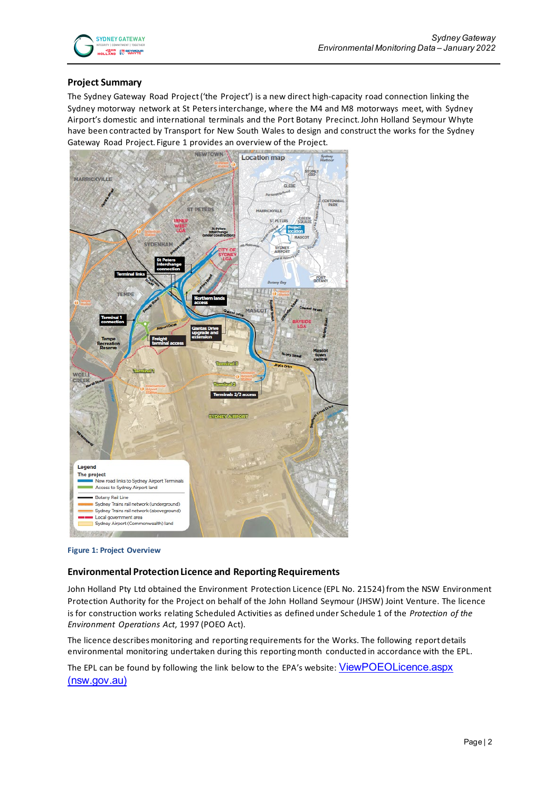#### **Project Summary**

The Sydney Gateway Road Project ('the Project') is a new direct high-capacity road connection linking the Sydney motorway network at St Peters interchange, where the M4 and M8 motorways meet, with Sydney Airport's domestic and international terminals and the Port Botany Precinct. John Holland Seymour Whyte have been contracted by Transport for New South Wales to design and construct the works for the Sydney Gateway Road Project. Figure 1 provides an overview of the Project.



**Figure 1: Project Overview**

#### **Environmental Protection Licence and Reporting Requirements**

John Holland Pty Ltd obtained the Environment Protection Licence (EPL No. 21524) from the NSW Environment Protection Authority for the Project on behalf of the John Holland Seymour (JHSW) Joint Venture. The licence is for construction works relating Scheduled Activities as defined under Schedule 1 of the *Protection of the Environment Operations Act*, 1997 (POEO Act).

The licence describes monitoring and reporting requirements for the Works. The following report details environmental monitoring undertaken during this reporting month conducted in accordance with the EPL.

The EPL can be found by following the link below to the EPA's website: ViewPOEOLicence.aspx [\(nsw.gov.au\)](https://app.epa.nsw.gov.au/prpoeoapp/ViewPOEOLicence.aspx?DOCID=232143&SYSUID=1&LICID=21524)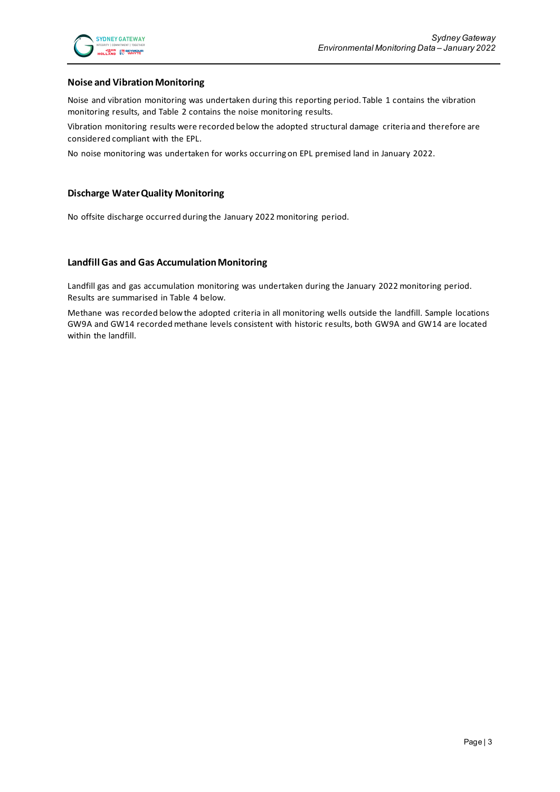#### **Noise and Vibration Monitoring**

Noise and vibration monitoring was undertaken during this reporting period. Table 1 contains the vibration monitoring results, and Table 2 contains the noise monitoring results.

Vibration monitoring results were recorded below the adopted structural damage criteria and therefore are considered compliant with the EPL.

No noise monitoring was undertaken for works occurring on EPL premised land in January 2022.

#### **Discharge Water Quality Monitoring**

No offsite discharge occurred during the January 2022 monitoring period.

#### **Landfill Gas and Gas Accumulation Monitoring**

Landfill gas and gas accumulation monitoring was undertaken during the January 2022 monitoring period. Results are summarised in Table 4 below.

Methane was recorded below the adopted criteria in all monitoring wells outside the landfill. Sample locations GW9A and GW14 recorded methane levels consistent with historic results, both GW9A and GW14 are located within the landfill.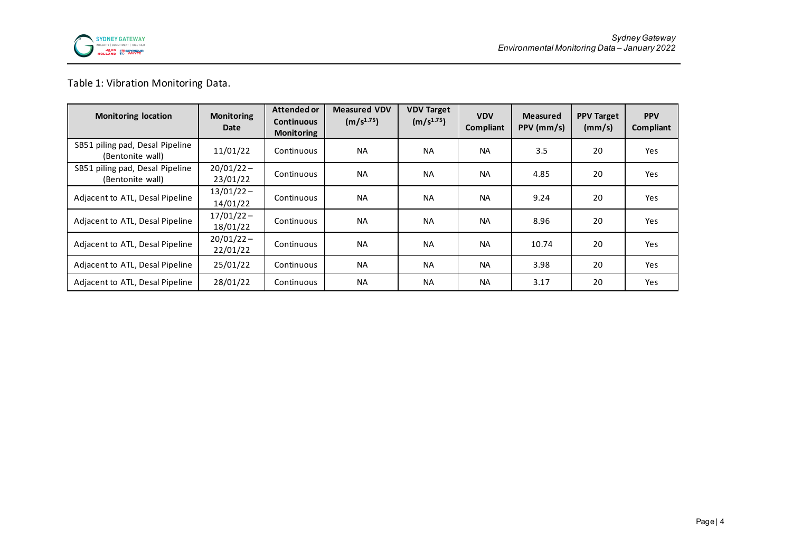

### Table 1: Vibration Monitoring Data.

| <b>Monitoring location</b>                          | <b>Monitoring</b><br>Date | Attended or<br><b>Continuous</b><br><b>Monitoring</b> | <b>Measured VDV</b><br>(m/s <sup>1.75</sup> ) | <b>VDV Target</b><br>(m/s <sup>1.75</sup> ) | <b>VDV</b><br>Compliant | <b>Measured</b><br>PPV (mm/s) | <b>PPV Target</b><br>(mm/s) | <b>PPV</b><br>Compliant |
|-----------------------------------------------------|---------------------------|-------------------------------------------------------|-----------------------------------------------|---------------------------------------------|-------------------------|-------------------------------|-----------------------------|-------------------------|
| SB51 piling pad, Desal Pipeline<br>(Bentonite wall) | 11/01/22                  | Continuous                                            | <b>NA</b>                                     | <b>NA</b>                                   | <b>NA</b>               | 3.5                           | 20                          | Yes                     |
| SB51 piling pad, Desal Pipeline<br>(Bentonite wall) | $20/01/22 -$<br>23/01/22  | Continuous                                            | <b>NA</b>                                     | <b>NA</b>                                   | <b>NA</b>               | 4.85                          | 20                          | Yes                     |
| Adjacent to ATL, Desal Pipeline                     | $13/01/22 -$<br>14/01/22  | Continuous                                            | <b>NA</b>                                     | <b>NA</b>                                   | <b>NA</b>               | 9.24                          | 20                          | Yes                     |
| Adjacent to ATL, Desal Pipeline                     | $17/01/22 -$<br>18/01/22  | Continuous                                            | <b>NA</b>                                     | <b>NA</b>                                   | <b>NA</b>               | 8.96                          | 20                          | Yes                     |
| Adjacent to ATL, Desal Pipeline                     | $20/01/22 -$<br>22/01/22  | Continuous                                            | <b>NA</b>                                     | <b>NA</b>                                   | <b>NA</b>               | 10.74                         | 20                          | <b>Yes</b>              |
| Adjacent to ATL, Desal Pipeline                     | 25/01/22                  | Continuous                                            | <b>NA</b>                                     | <b>NA</b>                                   | <b>NA</b>               | 3.98                          | 20                          | Yes                     |
| Adjacent to ATL, Desal Pipeline                     | 28/01/22                  | Continuous                                            | <b>NA</b>                                     | <b>NA</b>                                   | <b>NA</b>               | 3.17                          | 20                          | Yes                     |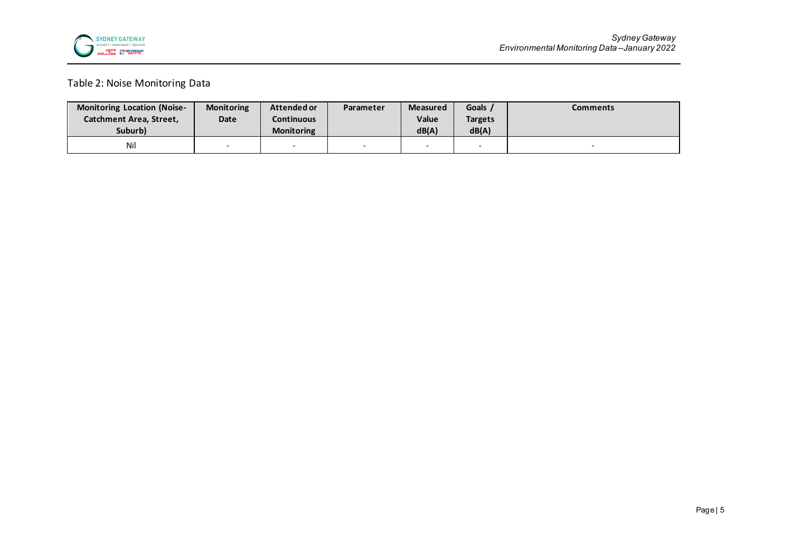

## Table 2: Noise Monitoring Data

| <b>Monitoring Location (Noise-</b> | <b>Monitoring</b> | Attended or       | Parameter                | <b>Measured</b> | Goals                    | Comments |
|------------------------------------|-------------------|-------------------|--------------------------|-----------------|--------------------------|----------|
| Catchment Area, Street,            | Date              | Continuous        |                          | <b>Value</b>    | <b>Targets</b>           |          |
| Suburb)                            |                   | <b>Monitoring</b> |                          | dB(A)           | dB(A)                    |          |
| Nil                                |                   |                   | $\overline{\phantom{0}}$ |                 | $\overline{\phantom{a}}$ |          |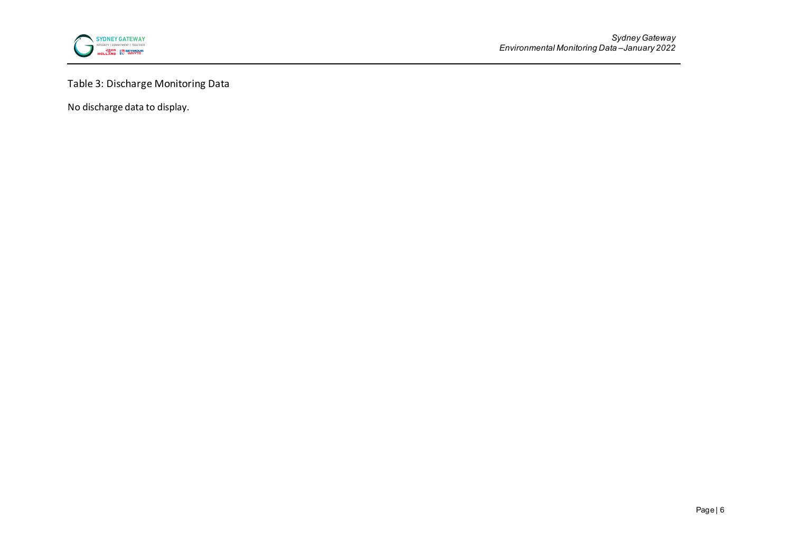

# Table 3: Discharge Monitoring Data

No discharge data to display.